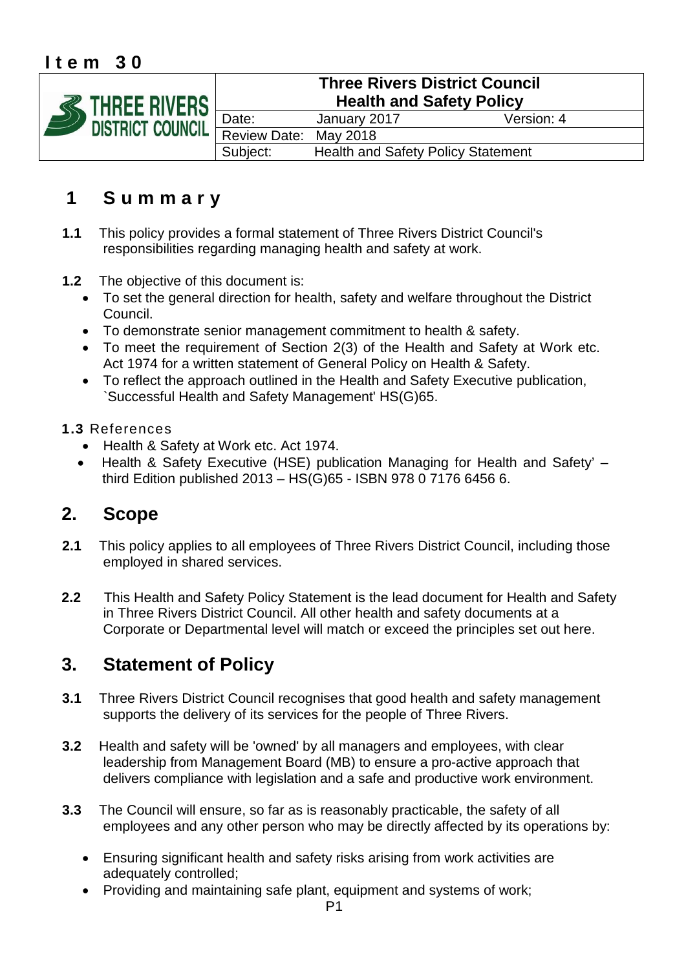## **Item 30**



# **1 Summary**

- **1.1** This policy provides a formal statement of Three Rivers District Council's responsibilities regarding managing health and safety at work.
- **1.2** The objective of this document is:
	- To set the general direction for health, safety and welfare throughout the District Council.
	- To demonstrate senior management commitment to health & safety.
	- To meet the requirement of Section 2(3) of the Health and Safety at Work etc. Act 1974 for a written statement of General Policy on Health & Safety.
	- To reflect the approach outlined in the Health and Safety Executive publication, `Successful Health and Safety Management' HS(G)65.

#### **1.3** References

- Health & Safety at Work etc. Act 1974.
- Health & Safety Executive (HSE) publication Managing for Health and Safety' third Edition published 2013 – HS(G)65 - ISBN 978 0 7176 6456 6.

## **2. Scope**

- **2.1** This policy applies to all employees of Three Rivers District Council, including those employed in shared services.
- **2.2** This Health and Safety Policy Statement is the lead document for Health and Safety in Three Rivers District Council. All other health and safety documents at a Corporate or Departmental level will match or exceed the principles set out here.

## **3. Statement of Policy**

- **3.1** Three Rivers District Council recognises that good health and safety management supports the delivery of its services for the people of Three Rivers.
- **3.2** Health and safety will be 'owned' by all managers and employees, with clear leadership from Management Board (MB) to ensure a pro-active approach that delivers compliance with legislation and a safe and productive work environment.
- **3.3** The Council will ensure, so far as is reasonably practicable, the safety of all employees and any other person who may be directly affected by its operations by:
	- Ensuring significant health and safety risks arising from work activities are adequately controlled;
	- Providing and maintaining safe plant, equipment and systems of work;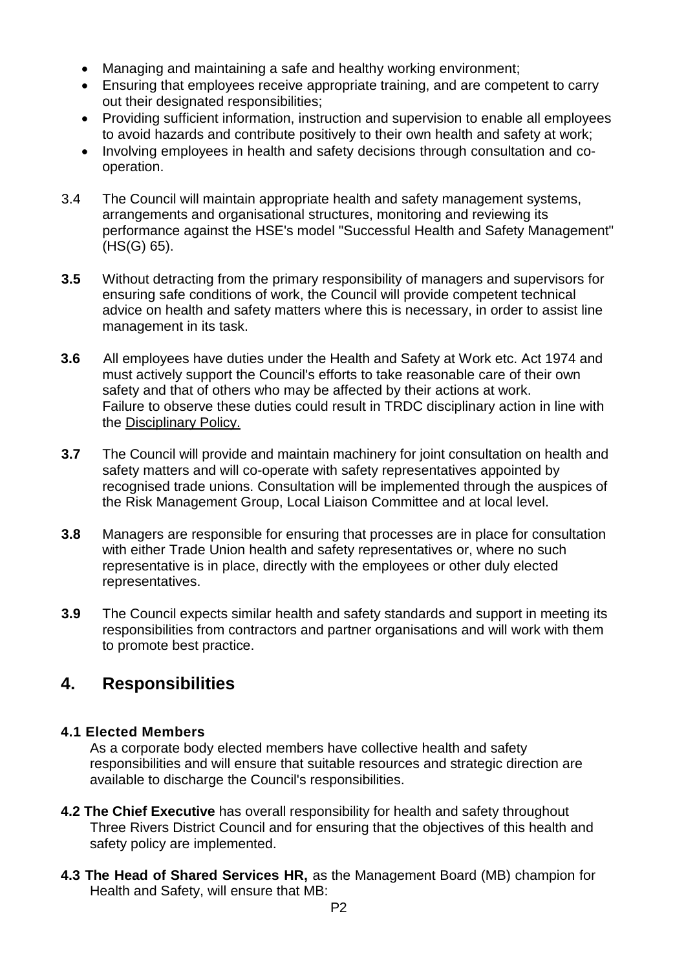- Managing and maintaining a safe and healthy working environment;
- Ensuring that employees receive appropriate training, and are competent to carry out their designated responsibilities;
- Providing sufficient information, instruction and supervision to enable all employees to avoid hazards and contribute positively to their own health and safety at work;
- Involving employees in health and safety decisions through consultation and cooperation.
- 3.4 The Council will maintain appropriate health and safety management systems, arrangements and organisational structures, monitoring and reviewing its performance against the HSE's model "Successful Health and Safety Management" (HS(G) 65).
- **3.5** Without detracting from the primary responsibility of managers and supervisors for ensuring safe conditions of work, the Council will provide competent technical advice on health and safety matters where this is necessary, in order to assist line management in its task.
- **3.6** All employees have duties under the Health and Safety at Work etc. Act 1974 and must actively support the Council's efforts to take reasonable care of their own safety and that of others who may be affected by their actions at work. Failure to observe these duties could result in TRDC disciplinary action in line with the Disciplinary Policy.
- **3.7** The Council will provide and maintain machinery for joint consultation on health and safety matters and will co-operate with safety representatives appointed by recognised trade unions. Consultation will be implemented through the auspices of the Risk Management Group, Local Liaison Committee and at local level.
- **3.8** Managers are responsible for ensuring that processes are in place for consultation with either Trade Union health and safety representatives or, where no such representative is in place, directly with the employees or other duly elected representatives.
- **3.9** The Council expects similar health and safety standards and support in meeting its responsibilities from contractors and partner organisations and will work with them to promote best practice.

## **4. Responsibilities**

### **4.1 Elected Members**

As a corporate body elected members have collective health and safety responsibilities and will ensure that suitable resources and strategic direction are available to discharge the Council's responsibilities.

- **4.2 The Chief Executive** has overall responsibility for health and safety throughout Three Rivers District Council and for ensuring that the objectives of this health and safety policy are implemented.
- **4.3 The Head of Shared Services HR,** as the Management Board (MB) champion for Health and Safety, will ensure that MB: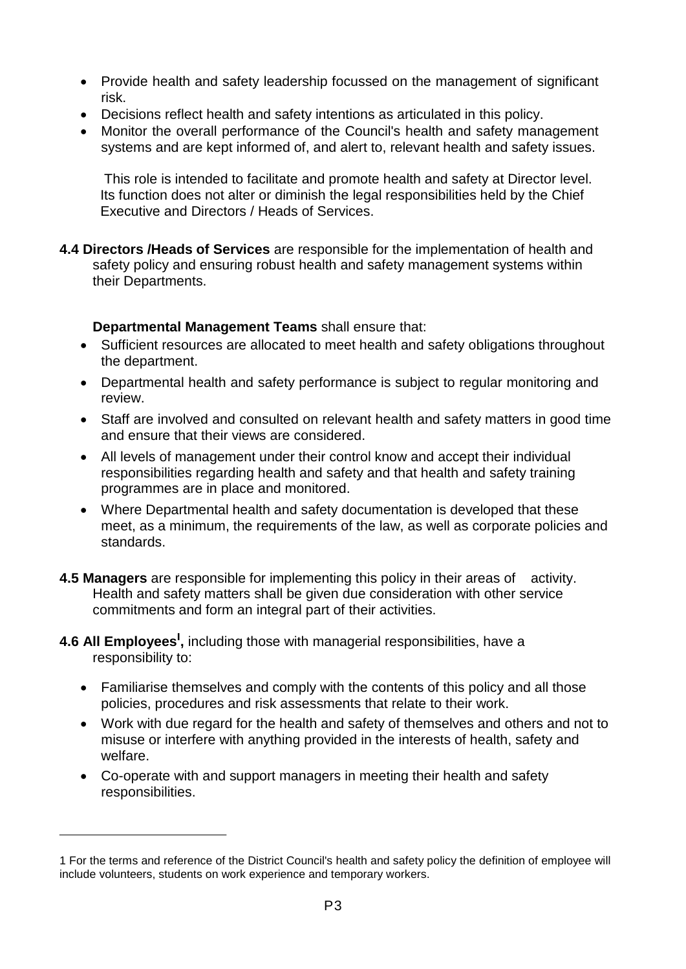- Provide health and safety leadership focussed on the management of significant risk.
- Decisions reflect health and safety intentions as articulated in this policy.
- Monitor the overall performance of the Council's health and safety management systems and are kept informed of, and alert to, relevant health and safety issues.

This role is intended to facilitate and promote health and safety at Director level. Its function does not alter or diminish the legal responsibilities held by the Chief Executive and Directors / Heads of Services.

**4.4 Directors /Heads of Services** are responsible for the implementation of health and safety policy and ensuring robust health and safety management systems within their Departments.

#### **Departmental Management Teams** shall ensure that:

- Sufficient resources are allocated to meet health and safety obligations throughout the department.
- Departmental health and safety performance is subject to regular monitoring and review.
- Staff are involved and consulted on relevant health and safety matters in good time and ensure that their views are considered.
- All levels of management under their control know and accept their individual responsibilities regarding health and safety and that health and safety training programmes are in place and monitored.
- Where Departmental health and safety documentation is developed that these meet, as a minimum, the requirements of the law, as well as corporate policies and standards.
- **4.5 Managers** are responsible for implementing this policy in their areas of activity. Health and safety matters shall be given due consideration with other service commitments and form an integral part of their activities.
- **4.6 All Employees<sup>l</sup> ,** including those with managerial responsibilities, have a responsibility to:
	- Familiarise themselves and comply with the contents of this policy and all those policies, procedures and risk assessments that relate to their work.
	- Work with due regard for the health and safety of themselves and others and not to misuse or interfere with anything provided in the interests of health, safety and welfare.
	- Co-operate with and support managers in meeting their health and safety responsibilities.

<sup>1</sup> For the terms and reference of the District Council's health and safety policy the definition of employee will include volunteers, students on work experience and temporary workers.